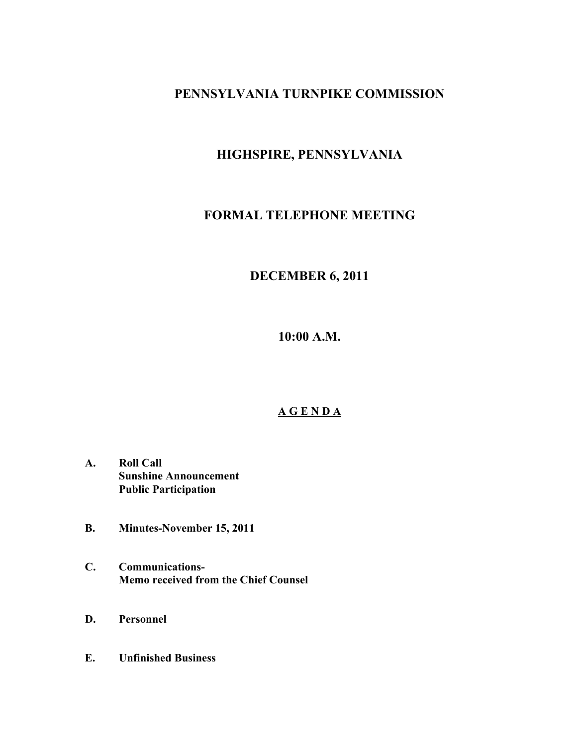### **PENNSYLVANIA TURNPIKE COMMISSION**

## **HIGHSPIRE, PENNSYLVANIA**

## **FORMAL TELEPHONE MEETING**

# **DECEMBER 6, 2011**

**10:00 A.M.**

### **A G E N D A**

- **A. Roll Call Sunshine Announcement Public Participation**
- **B. Minutes-November 15, 2011**
- **C. Communications-Memo received from the Chief Counsel**
- **D. Personnel**
- **E. Unfinished Business**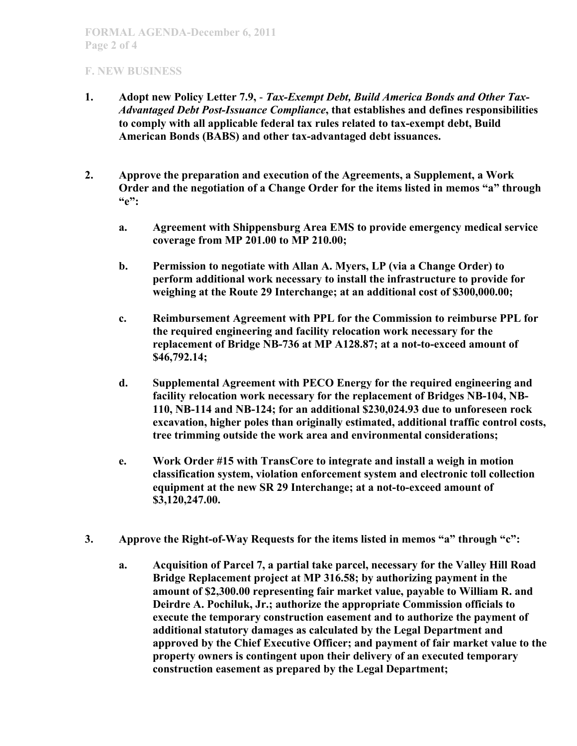#### **F. NEW BUSINESS**

- **1. Adopt new Policy Letter 7.9,**  *Tax-Exempt Debt, Build America Bonds and Other Tax-Advantaged Debt Post-Issuance Compliance***, that establishes and defines responsibilities to comply with all applicable federal tax rules related to tax-exempt debt, Build American Bonds (BABS) and other tax-advantaged debt issuances.**
- **2. Approve the preparation and execution of the Agreements, a Supplement, a Work Order and the negotiation of a Change Order for the items listed in memos "a" through "e":**
	- **a. Agreement with Shippensburg Area EMS to provide emergency medical service coverage from MP 201.00 to MP 210.00;**
	- **b. Permission to negotiate with Allan A. Myers, LP (via a Change Order) to perform additional work necessary to install the infrastructure to provide for weighing at the Route 29 Interchange; at an additional cost of \$300,000.00;**
	- **c. Reimbursement Agreement with PPL for the Commission to reimburse PPL for the required engineering and facility relocation work necessary for the replacement of Bridge NB-736 at MP A128.87; at a not-to-exceed amount of \$46,792.14;**
	- **d. Supplemental Agreement with PECO Energy for the required engineering and facility relocation work necessary for the replacement of Bridges NB-104, NB-110, NB-114 and NB-124; for an additional \$230,024.93 due to unforeseen rock excavation, higher poles than originally estimated, additional traffic control costs, tree trimming outside the work area and environmental considerations;**
	- **e. Work Order #15 with TransCore to integrate and install a weigh in motion classification system, violation enforcement system and electronic toll collection equipment at the new SR 29 Interchange; at a not-to-exceed amount of \$3,120,247.00.**
- **3. Approve the Right-of-Way Requests for the items listed in memos "a" through "c":**
	- **a. Acquisition of Parcel 7, a partial take parcel, necessary for the Valley Hill Road Bridge Replacement project at MP 316.58; by authorizing payment in the amount of \$2,300.00 representing fair market value, payable to William R. and Deirdre A. Pochiluk, Jr.; authorize the appropriate Commission officials to execute the temporary construction easement and to authorize the payment of additional statutory damages as calculated by the Legal Department and approved by the Chief Executive Officer; and payment of fair market value to the property owners is contingent upon their delivery of an executed temporary construction easement as prepared by the Legal Department;**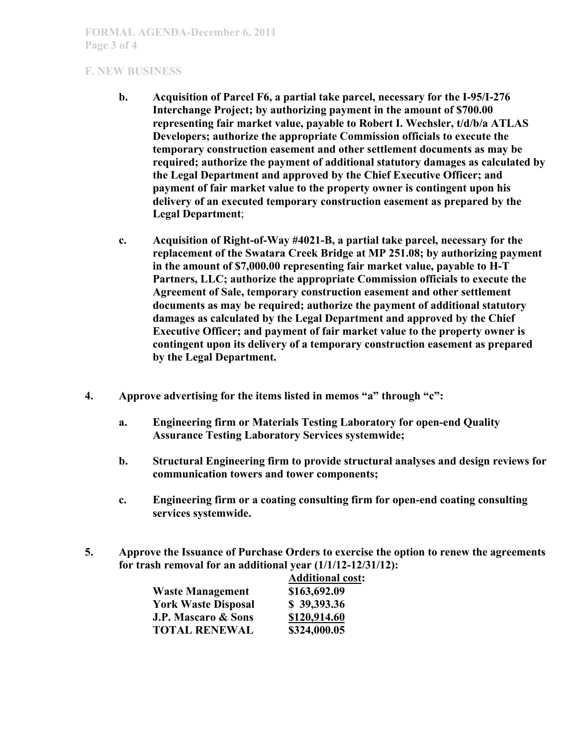#### **F. NEW BUSINESS**

- **b. Acquisition of Parcel F6, a partial take parcel, necessary for the I-95/I-276 Interchange Project; by authorizing payment in the amount of \$700.00 representing fair market value, payable to Robert I. Wechsler, t/d/b/a ATLAS Developers; authorize the appropriate Commission officials to execute the temporary construction easement and other settlement documents as may be required; authorize the payment of additional statutory damages as calculated by the Legal Department and approved by the Chief Executive Officer; and payment of fair market value to the property owner is contingent upon his delivery of an executed temporary construction easement as prepared by the Legal Department**;
- **c. Acquisition of Right-of-Way #4021-B, a partial take parcel, necessary for the replacement of the Swatara Creek Bridge at MP 251.08; by authorizing payment in the amount of \$7,000.00 representing fair market value, payable to H-T Partners, LLC; authorize the appropriate Commission officials to execute the Agreement of Sale, temporary construction easement and other settlement documents as may be required; authorize the payment of additional statutory damages as calculated by the Legal Department and approved by the Chief Executive Officer; and payment of fair market value to the property owner is contingent upon its delivery of a temporary construction easement as prepared by the Legal Department.**
- **4. Approve advertising for the items listed in memos "a" through "c":**
	- **a. Engineering firm or Materials Testing Laboratory for open-end Quality Assurance Testing Laboratory Services systemwide;**
	- **b. Structural Engineering firm to provide structural analyses and design reviews for communication towers and tower components;**
	- **c. Engineering firm or a coating consulting firm for open-end coating consulting services systemwide.**
- **5. Approve the Issuance of Purchase Orders to exercise the option to renew the agreements for trash removal for an additional year (1/1/12-12/31/12):**

|                                | <b>Additional cost:</b> |
|--------------------------------|-------------------------|
| <b>Waste Management</b>        | \$163,692.09            |
| <b>York Waste Disposal</b>     | \$39,393.36             |
| <b>J.P. Mascaro &amp; Sons</b> | \$120,914.60            |
| <b>TOTAL RENEWAL</b>           | \$324,000.05            |